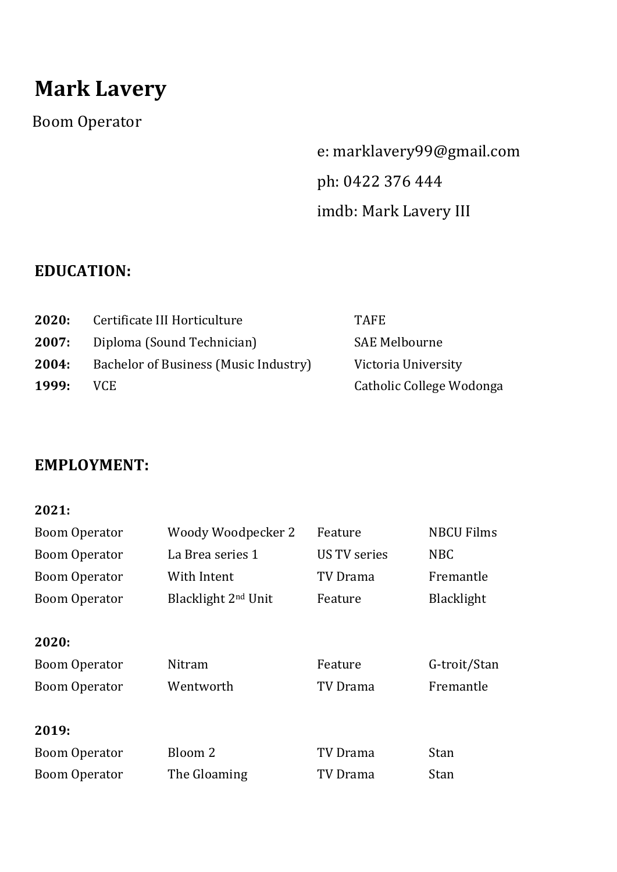# **Mark Lavery**

Boom Operator 

e: marklavery99@gmail.com ph: 0422 376 444 imdb: Mark Lavery III

# **EDUCATION:**

| 2020: | Certificate III Horticulture          | <b>TAFE</b>              |
|-------|---------------------------------------|--------------------------|
| 2007: | Diploma (Sound Technician)            | <b>SAE Melbourne</b>     |
| 2004: | Bachelor of Business (Music Industry) | Victoria University      |
| 1999: | VCE.                                  | Catholic College Wodonga |

## **EMPLOYMENT:**

#### **2021:**

| <b>Boom Operator</b> | Woody Woodpecker 2              | Feature             | <b>NBCU Films</b> |
|----------------------|---------------------------------|---------------------|-------------------|
| <b>Boom Operator</b> | La Brea series 1                | <b>US TV series</b> | <b>NBC</b>        |
| <b>Boom Operator</b> | With Intent                     | TV Drama            | Fremantle         |
| <b>Boom Operator</b> | Blacklight 2 <sup>nd</sup> Unit | Feature             | <b>Blacklight</b> |
|                      |                                 |                     |                   |
| 2020:                |                                 |                     |                   |
| <b>Boom Operator</b> | Nitram                          | Feature             | G-troit/Stan      |
| <b>Boom Operator</b> | Wentworth                       | TV Drama            | Fremantle         |
|                      |                                 |                     |                   |
| 2019:                |                                 |                     |                   |
| <b>Boom Operator</b> | Bloom 2                         | TV Drama            | Stan              |
| <b>Boom Operator</b> | The Gloaming                    | TV Drama            | Stan              |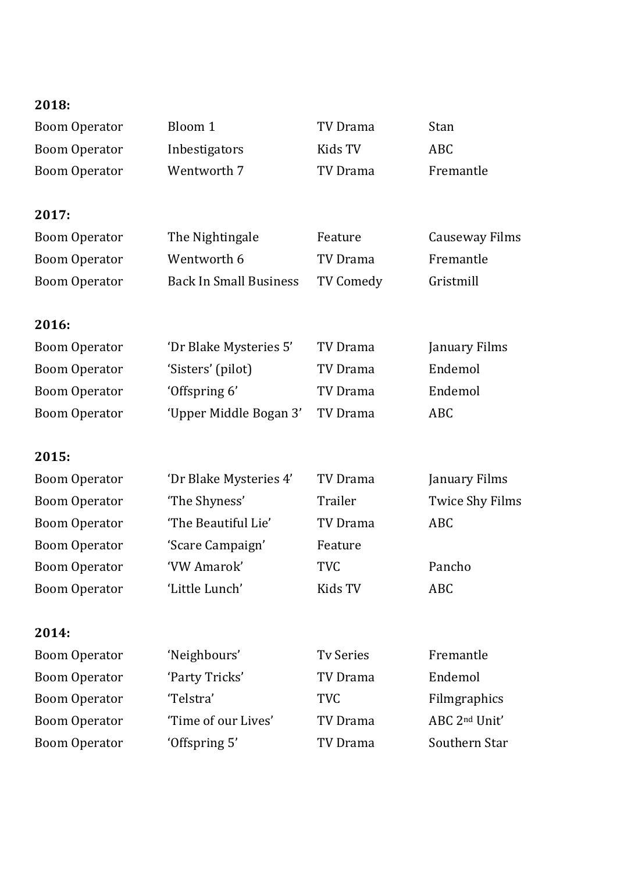| 2018:                                        |                               |                        |                           |
|----------------------------------------------|-------------------------------|------------------------|---------------------------|
| <b>Boom Operator</b>                         | Bloom 1                       | TV Drama               | Stan                      |
| <b>Boom Operator</b>                         | Inbestigators                 | Kids TV                | <b>ABC</b>                |
| <b>Boom Operator</b>                         | Wentworth 7                   | <b>TV Drama</b>        | Fremantle                 |
|                                              |                               |                        |                           |
| 2017:                                        |                               |                        |                           |
| <b>Boom Operator</b>                         | The Nightingale               | Feature                | Causeway Films            |
| <b>Boom Operator</b>                         | Wentworth 6                   | TV Drama               | Fremantle                 |
| <b>Boom Operator</b>                         | <b>Back In Small Business</b> | <b>TV Comedy</b>       | Gristmill                 |
|                                              |                               |                        |                           |
| 2016:                                        |                               |                        |                           |
| <b>Boom Operator</b>                         | 'Dr Blake Mysteries 5'        | <b>TV Drama</b>        | January Films             |
| <b>Boom Operator</b>                         | 'Sisters' (pilot)             | TV Drama               | Endemol                   |
| <b>Boom Operator</b>                         | 'Offspring 6'                 | TV Drama               | Endemol                   |
| <b>Boom Operator</b>                         | 'Upper Middle Bogan 3'        | <b>TV Drama</b>        | <b>ABC</b>                |
|                                              |                               |                        |                           |
| 2015:                                        |                               |                        |                           |
|                                              |                               |                        |                           |
| <b>Boom Operator</b>                         | 'Dr Blake Mysteries 4'        | TV Drama               | January Films             |
| <b>Boom Operator</b>                         | 'The Shyness'                 | Trailer                | <b>Twice Shy Films</b>    |
| <b>Boom Operator</b>                         | 'The Beautiful Lie'           | <b>TV Drama</b>        | <b>ABC</b>                |
| <b>Boom Operator</b>                         | 'Scare Campaign'              | Feature                |                           |
| <b>Boom Operator</b>                         | 'VW Amarok'                   | TVC                    | Pancho                    |
| <b>Boom Operator</b>                         | 'Little Lunch'                | Kids TV                | <b>ABC</b>                |
|                                              |                               |                        |                           |
| 2014:                                        |                               |                        |                           |
| <b>Boom Operator</b>                         | 'Neighbours'                  | <b>Tv Series</b>       | Fremantle<br>Endemol      |
| <b>Boom Operator</b>                         | 'Party Tricks'<br>'Telstra'   | TV Drama<br><b>TVC</b> | Filmgraphics              |
| <b>Boom Operator</b><br><b>Boom Operator</b> | 'Time of our Lives'           | <b>TV Drama</b>        | ABC 2 <sup>nd</sup> Unit' |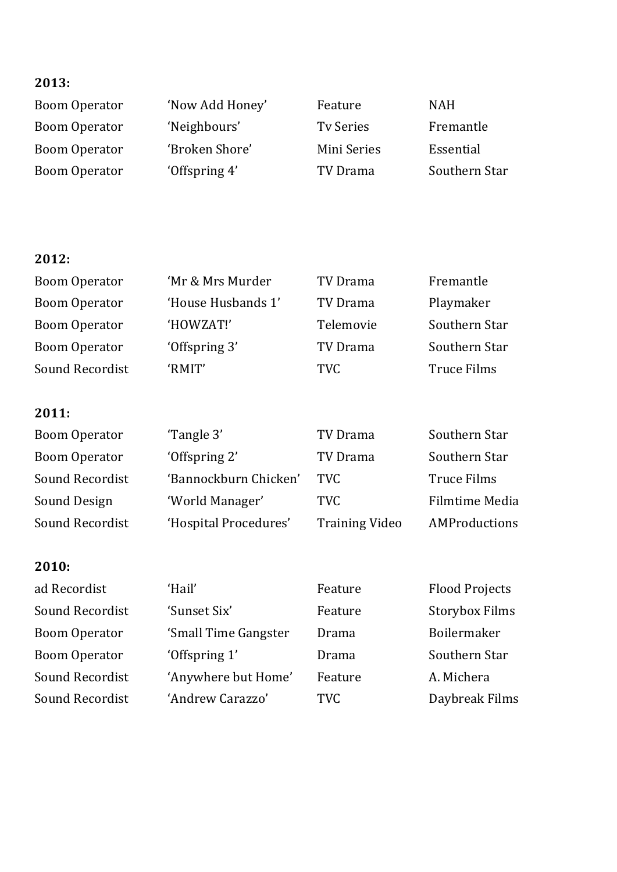#### **2013:**

Boom Operator 'Now Add Honey' Feature NAH Boom Operator 'Neighbours' Tv Series Fremantle Boom Operator 'Broken Shore' Mini Series Essential Boom Operator 'Offspring 4' TV Drama Southern Star

#### **2012:**

| <b>Boom Operator</b>   | 'Mr & Mrs Murder      | TV Drama              | Fremantle             |
|------------------------|-----------------------|-----------------------|-----------------------|
| <b>Boom Operator</b>   | 'House Husbands 1'    | TV Drama              | Playmaker             |
| <b>Boom Operator</b>   | 'HOWZAT!'             | Telemovie             | Southern Star         |
| <b>Boom Operator</b>   | 'Offspring 3'         | TV Drama              | Southern Star         |
| Sound Recordist        | 'RMIT'                | <b>TVC</b>            | Truce Films           |
| 2011:                  |                       |                       |                       |
| <b>Boom Operator</b>   | 'Tangle 3'            | TV Drama              | Southern Star         |
| <b>Boom Operator</b>   | 'Offspring 2'         | TV Drama              | Southern Star         |
| <b>Sound Recordist</b> | 'Bannockburn Chicken' | <b>TVC</b>            | <b>Truce Films</b>    |
| Sound Design           | 'World Manager'       | <b>TVC</b>            | <b>Filmtime Media</b> |
| <b>Sound Recordist</b> | 'Hospital Procedures' | <b>Training Video</b> | AMProductions         |
|                        |                       |                       |                       |

## **2010:**

| 'Hail'               | Feature    | <b>Flood Projects</b> |
|----------------------|------------|-----------------------|
| 'Sunset Six'         | Feature    | <b>Storybox Films</b> |
| 'Small Time Gangster | Drama      | Boilermaker           |
| 'Offspring 1'        | Drama      | Southern Star         |
| 'Anywhere but Home'  | Feature    | A. Michera            |
| 'Andrew Carazzo'     | <b>TVC</b> | Daybreak Films        |
|                      |            |                       |